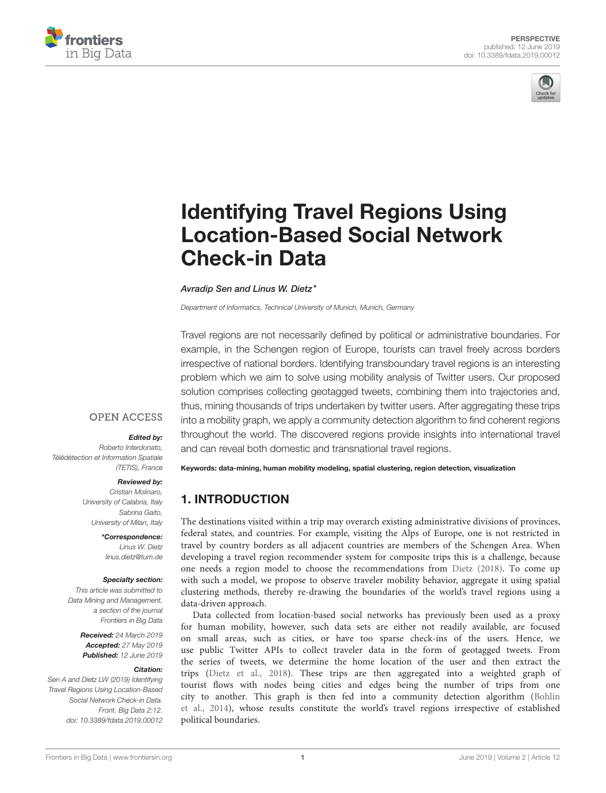



# Identifying Travel Regions Using [Location-Based Social Network](https://www.frontiersin.org/articles/10.3389/fdata.2019.00012/full) Check-in Data

[Avradip Sen](http://loop.frontiersin.org/people/723418/overview) and [Linus W. Dietz\\*](http://loop.frontiersin.org/people/694145/overview)

Department of Informatics, Technical University of Munich, Munich, Germany

Travel regions are not necessarily defined by political or administrative boundaries. For example, in the Schengen region of Europe, tourists can travel freely across borders irrespective of national borders. Identifying transboundary travel regions is an interesting problem which we aim to solve using mobility analysis of Twitter users. Our proposed solution comprises collecting geotagged tweets, combining them into trajectories and, thus, mining thousands of trips undertaken by twitter users. After aggregating these trips into a mobility graph, we apply a community detection algorithm to find coherent regions throughout the world. The discovered regions provide insights into international travel and can reveal both domestic and transnational travel regions.

### **OPEN ACCESS**

#### Edited by:

Roberto Interdonato, Télédétection et Information Spatiale (TETIS), France

#### Reviewed by:

Cristian Molinaro, University of Calabria, Italy Sabrina Gaito, University of Milan, Italy

\*Correspondence:

Linus W. Dietz [linus.dietz@tum.de](mailto:linus.dietz@tum.de)

#### Specialty section:

This article was submitted to Data Mining and Management, a section of the journal Frontiers in Big Data

> Received: 24 March 2019 Accepted: 27 May 2019 Published: 12 June 2019

#### Citation:

Sen A and Dietz LW (2019) Identifying Travel Regions Using Location-Based Social Network Check-in Data. Front. Big Data 2:12. doi: [10.3389/fdata.2019.00012](https://doi.org/10.3389/fdata.2019.00012)

Keywords: data-mining, human mobility modeling, spatial clustering, region detection, visualization

# 1. INTRODUCTION

The destinations visited within a trip may overarch existing administrative divisions of provinces, federal states, and countries. For example, visiting the Alps of Europe, one is not restricted in travel by country borders as all adjacent countries are members of the Schengen Area. When developing a travel region recommender system for composite trips this is a challenge, because one needs a region model to choose the recommendations from [Dietz \(2018\)](#page-2-0). To come up with such a model, we propose to observe traveler mobility behavior, aggregate it using spatial clustering methods, thereby re-drawing the boundaries of the world's travel regions using a data-driven approach.

Data collected from location-based social networks has previously been used as a proxy for human mobility, however, such data sets are either not readily available, are focused on small areas, such as cities, or have too sparse check-ins of the users. Hence, we use public Twitter APIs to collect traveler data in the form of geotagged tweets. From the series of tweets, we determine the home location of the user and then extract the trips [\(Dietz et al., 2018\)](#page-2-1). These trips are then aggregated into a weighted graph of tourist flows with nodes being cities and edges being the number of trips from one city to another. This graph is then fed into a community detection algorithm (Bohlin et al., [2014\)](#page-2-2), whose results constitute the world's travel regions irrespective of established political boundaries.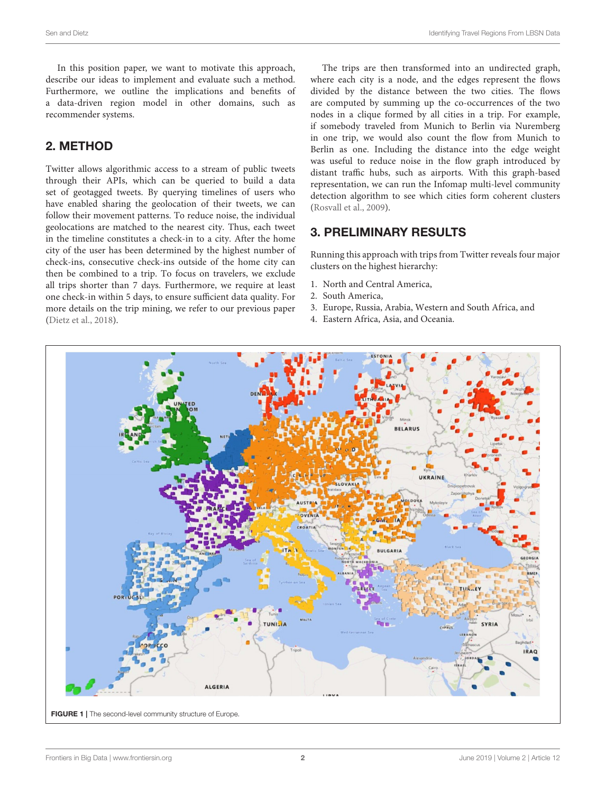In this position paper, we want to motivate this approach, describe our ideas to implement and evaluate such a method. Furthermore, we outline the implications and benefits of a data-driven region model in other domains, such as recommender systems.

# 2. METHOD

Twitter allows algorithmic access to a stream of public tweets through their APIs, which can be queried to build a data set of geotagged tweets. By querying timelines of users who have enabled sharing the geolocation of their tweets, we can follow their movement patterns. To reduce noise, the individual geolocations are matched to the nearest city. Thus, each tweet in the timeline constitutes a check-in to a city. After the home city of the user has been determined by the highest number of check-ins, consecutive check-ins outside of the home city can then be combined to a trip. To focus on travelers, we exclude all trips shorter than 7 days. Furthermore, we require at least one check-in within 5 days, to ensure sufficient data quality. For more details on the trip mining, we refer to our previous paper [\(Dietz et al., 2018\)](#page-2-1).

The trips are then transformed into an undirected graph, where each city is a node, and the edges represent the flows divided by the distance between the two cities. The flows are computed by summing up the co-occurrences of the two nodes in a clique formed by all cities in a trip. For example, if somebody traveled from Munich to Berlin via Nuremberg in one trip, we would also count the flow from Munich to Berlin as one. Including the distance into the edge weight was useful to reduce noise in the flow graph introduced by distant traffic hubs, such as airports. With this graph-based representation, we can run the Infomap multi-level community detection algorithm to see which cities form coherent clusters [\(Rosvall et al., 2009\)](#page-3-0).

### 3. PRELIMINARY RESULTS

Running this approach with trips from Twitter reveals four major clusters on the highest hierarchy:

- 1. North and Central America,
- 2. South America,
- 3. Europe, Russia, Arabia, Western and South Africa, and
- 4. Eastern Africa, Asia, and Oceania.

<span id="page-1-0"></span>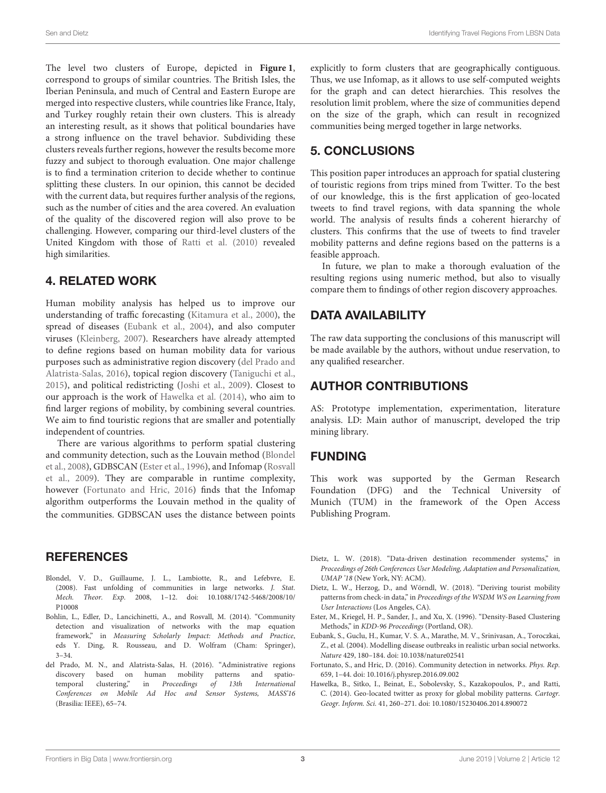The level two clusters of Europe, depicted in **[Figure 1](#page-1-0)**, correspond to groups of similar countries. The British Isles, the Iberian Peninsula, and much of Central and Eastern Europe are merged into respective clusters, while countries like France, Italy, and Turkey roughly retain their own clusters. This is already an interesting result, as it shows that political boundaries have a strong influence on the travel behavior. Subdividing these clusters reveals further regions, however the results become more fuzzy and subject to thorough evaluation. One major challenge is to find a termination criterion to decide whether to continue splitting these clusters. In our opinion, this cannot be decided with the current data, but requires further analysis of the regions, such as the number of cities and the area covered. An evaluation of the quality of the discovered region will also prove to be challenging. However, comparing our third-level clusters of the United Kingdom with those of [Ratti et al. \(2010\)](#page-3-1) revealed high similarities.

### 4. RELATED WORK

Human mobility analysis has helped us to improve our understanding of traffic forecasting [\(Kitamura et al., 2000\)](#page-3-2), the spread of diseases [\(Eubank et al., 2004\)](#page-2-3), and also computer viruses [\(Kleinberg, 2007\)](#page-3-3). Researchers have already attempted to define regions based on human mobility data for various purposes such as administrative region discovery (del Prado and Alatrista-Salas, [2016\)](#page-2-4), topical region discovery [\(Taniguchi et al.,](#page-3-4) [2015\)](#page-3-4), and political redistricting [\(Joshi et al., 2009\)](#page-3-5). Closest to our approach is the work of [Hawelka et al. \(2014\)](#page-2-5), who aim to find larger regions of mobility, by combining several countries. We aim to find touristic regions that are smaller and potentially independent of countries.

There are various algorithms to perform spatial clustering and community detection, such as the Louvain method (Blondel et al., [2008\)](#page-2-6), GDBSCAN [\(Ester et al., 1996\)](#page-2-7), and Infomap (Rosvall et al., [2009\)](#page-3-0). They are comparable in runtime complexity, however [\(Fortunato and Hric, 2016\)](#page-2-8) finds that the Infomap algorithm outperforms the Louvain method in the quality of the communities. GDBSCAN uses the distance between points

# **REFERENCES**

- <span id="page-2-6"></span>Blondel, V. D., Guillaume, J. L., Lambiotte, R., and Lefebvre, E. (2008). Fast unfolding of communities in large networks. J. Stat. Mech. Theor. Exp. [2008, 1–12. doi: 10.1088/1742-5468/2008/10/](https://doi.org/10.1088/1742-5468/2008/10/P10008) P10008
- <span id="page-2-2"></span>Bohlin, L., Edler, D., Lancichinetti, A., and Rosvall, M. (2014). "Community detection and visualization of networks with the map equation framework," in Measuring Scholarly Impact: Methods and Practice, eds Y. Ding, R. Rousseau, and D. Wolfram (Cham: Springer), 3–34.
- <span id="page-2-4"></span>del Prado, M. N., and Alatrista-Salas, H. (2016). "Administrative regions discovery based on human mobility patterns and spatiotemporal clustering," in Proceedings of 13th International Conferences on Mobile Ad Hoc and Sensor Systems, MASS'16 (Brasilia: IEEE), 65–74.

explicitly to form clusters that are geographically contiguous. Thus, we use Infomap, as it allows to use self-computed weights for the graph and can detect hierarchies. This resolves the resolution limit problem, where the size of communities depend on the size of the graph, which can result in recognized communities being merged together in large networks.

# 5. CONCLUSIONS

This position paper introduces an approach for spatial clustering of touristic regions from trips mined from Twitter. To the best of our knowledge, this is the first application of geo-located tweets to find travel regions, with data spanning the whole world. The analysis of results finds a coherent hierarchy of clusters. This confirms that the use of tweets to find traveler mobility patterns and define regions based on the patterns is a feasible approach.

In future, we plan to make a thorough evaluation of the resulting regions using numeric method, but also to visually compare them to findings of other region discovery approaches.

# DATA AVAILABILITY

The raw data supporting the conclusions of this manuscript will be made available by the authors, without undue reservation, to any qualified researcher.

### AUTHOR CONTRIBUTIONS

AS: Prototype implementation, experimentation, literature analysis. LD: Main author of manuscript, developed the trip mining library.

### FUNDING

This work was supported by the German Research Foundation (DFG) and the Technical University of Munich (TUM) in the framework of the Open Access Publishing Program.

- <span id="page-2-0"></span>Dietz, L. W. (2018). "Data-driven destination recommender systems," in Proceedings of 26th Conferences User Modeling, Adaptation and Personalization, UMAP '18 (New York, NY: ACM).
- <span id="page-2-1"></span>Dietz, L. W., Herzog, D., and Wörndl, W. (2018). "Deriving tourist mobility patterns from check-in data," in Proceedings of the WSDM WS on Learning from User Interactions (Los Angeles, CA).
- <span id="page-2-7"></span>Ester, M., Kriegel, H. P., Sander, J., and Xu, X. (1996). "Density-Based Clustering Methods," in KDD-96 Proceedings (Portland, OR).
- <span id="page-2-3"></span>Eubank, S., Guclu, H., Kumar, V. S. A., Marathe, M. V., Srinivasan, A., Toroczkai, Z., et al. (2004). Modelling disease outbreaks in realistic urban social networks. Nature 429, 180–184. doi: [10.1038/nature02541](https://doi.org/10.1038/nature02541)
- <span id="page-2-8"></span>Fortunato, S., and Hric, D. (2016). Community detection in networks. Phys. Rep. 659, 1–44. doi: [10.1016/j.physrep.2016.09.002](https://doi.org/10.1016/j.physrep.2016.09.002)
- <span id="page-2-5"></span>Hawelka, B., Sitko, I., Beinat, E., Sobolevsky, S., Kazakopoulos, P., and Ratti, C. (2014). Geo-located twitter as proxy for global mobility patterns. Cartogr. Geogr. Inform. Sci. 41, 260–271. doi: [10.1080/15230406.2014.890072](https://doi.org/10.1080/15230406.2014.890072)